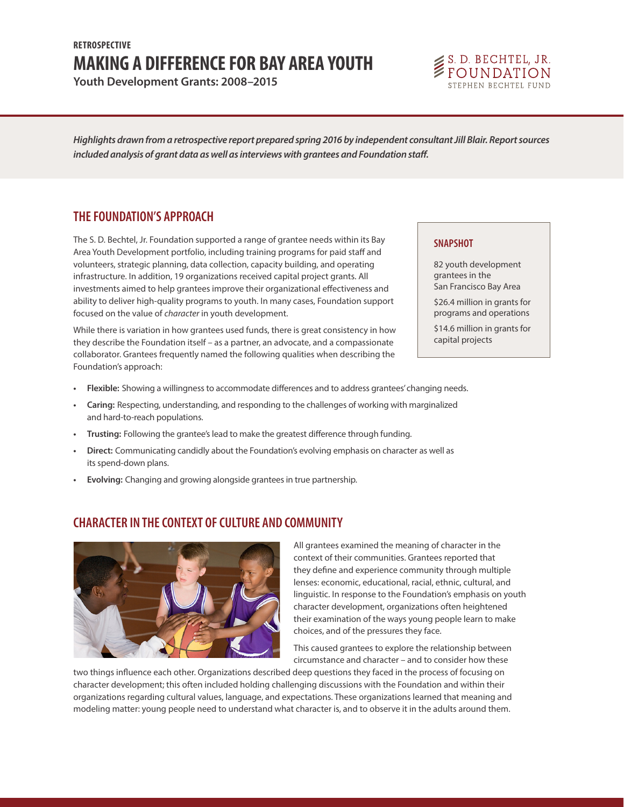# **MAKING A DIFFERENCE FOR BAY AREA YOUTH RETROSPECTIVE**

**Youth Development Grants: 2008–2015**



*Highlights drawn from a retrospective report prepared spring 2016 by independent consultant Jill Blair. Report sources included analysis of grant data as well as interviews with grantees and Foundation staff.*

### **THE FOUNDATION'S APPROACH**

The S. D. Bechtel, Jr. Foundation supported a range of grantee needs within its Bay Area Youth Development portfolio, including training programs for paid staff and volunteers, strategic planning, data collection, capacity building, and operating infrastructure. In addition, 19 organizations received capital project grants. All investments aimed to help grantees improve their organizational effectiveness and ability to deliver high-quality programs to youth. In many cases, Foundation support focused on the value of *character* in youth development.

While there is variation in how grantees used funds, there is great consistency in how they describe the Foundation itself – as a partner, an advocate, and a compassionate collaborator. Grantees frequently named the following qualities when describing the Foundation's approach:

#### 82 youth development grantees in the

**SNAPSHOT**

San Francisco Bay Area

\$26.4 million in grants for programs and operations

\$14.6 million in grants for capital projects

- **• Flexible:** Showing a willingness to accommodate differences and to address grantees' changing needs.
- **• Caring:** Respecting, understanding, and responding to the challenges of working with marginalized and hard-to-reach populations.
- **• Trusting:** Following the grantee's lead to make the greatest difference through funding.
- **• Direct:** Communicating candidly about the Foundation's evolving emphasis on character as well as its spend-down plans.
- **• Evolving:** Changing and growing alongside grantees in true partnership.

### **CHARACTER IN THE CONTEXT OF CULTURE AND COMMUNITY**



All grantees examined the meaning of character in the context of their communities. Grantees reported that they define and experience community through multiple lenses: economic, educational, racial, ethnic, cultural, and linguistic. In response to the Foundation's emphasis on youth character development, organizations often heightened their examination of the ways young people learn to make choices, and of the pressures they face.

This caused grantees to explore the relationship between circumstance and character – and to consider how these

two things influence each other. Organizations described deep questions they faced in the process of focusing on character development; this often included holding challenging discussions with the Foundation and within their organizations regarding cultural values, language, and expectations. These organizations learned that meaning and modeling matter: young people need to understand what character is, and to observe it in the adults around them.